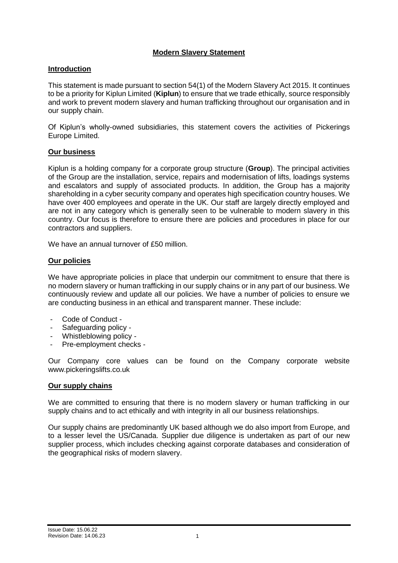# **Modern Slavery Statement**

## **Introduction**

This statement is made pursuant to section 54(1) of the Modern Slavery Act 2015. It continues to be a priority for Kiplun Limited (**Kiplun**) to ensure that we trade ethically, source responsibly and work to prevent modern slavery and human trafficking throughout our organisation and in our supply chain.

Of Kiplun's wholly-owned subsidiaries, this statement covers the activities of Pickerings Europe Limited.

## **Our business**

Kiplun is a holding company for a corporate group structure (**Group**). The principal activities of the Group are the installation, service, repairs and modernisation of lifts, loadings systems and escalators and supply of associated products. In addition, the Group has a majority shareholding in a cyber security company and operates high specification country houses. We have over 400 employees and operate in the UK. Our staff are largely directly employed and are not in any category which is generally seen to be vulnerable to modern slavery in this country. Our focus is therefore to ensure there are policies and procedures in place for our contractors and suppliers.

We have an annual turnover of £50 million.

## **Our policies**

We have appropriate policies in place that underpin our commitment to ensure that there is no modern slavery or human trafficking in our supply chains or in any part of our business. We continuously review and update all our policies. We have a number of policies to ensure we are conducting business in an ethical and transparent manner. These include:

- Code of Conduct -
- Safeguarding policy -
- Whistleblowing policy -
- Pre-employment checks -

Our Company core values can be found on the Company corporate website [www.pickeringslifts.co.uk](http://www.pickeringslifts.co.uk/)

### **Our supply chains**

We are committed to ensuring that there is no modern slavery or human trafficking in our supply chains and to act ethically and with integrity in all our business relationships.

Our supply chains are predominantly UK based although we do also import from Europe, and to a lesser level the US/Canada. Supplier due diligence is undertaken as part of our new supplier process, which includes checking against corporate databases and consideration of the geographical risks of modern slavery.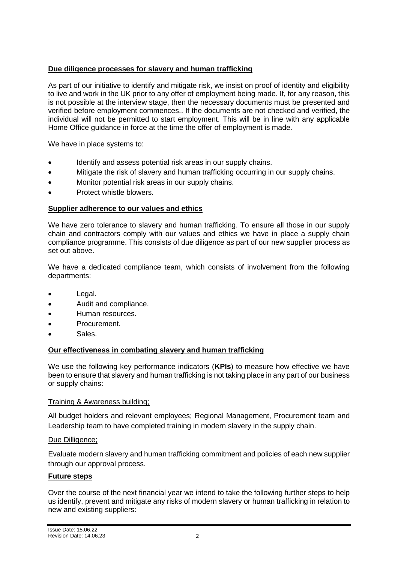# **Due diligence processes for slavery and human trafficking**

As part of our initiative to identify and mitigate risk, we insist on proof of identity and eligibility to live and work in the UK prior to any offer of employment being made. If, for any reason, this is not possible at the interview stage, then the necessary documents must be presented and verified before employment commences.. If the documents are not checked and verified, the individual will not be permitted to start employment. This will be in line with any applicable Home Office guidance in force at the time the offer of employment is made.

We have in place systems to:

- Identify and assess potential risk areas in our supply chains.
- Mitigate the risk of slavery and human trafficking occurring in our supply chains.
- Monitor potential risk areas in our supply chains.
- Protect whistle blowers.

## **Supplier adherence to our values and ethics**

We have zero tolerance to slavery and human trafficking. To ensure all those in our supply chain and contractors comply with our values and ethics we have in place a supply chain compliance programme. This consists of due diligence as part of our new supplier process as set out above.

We have a dedicated compliance team, which consists of involvement from the following departments:

- Legal.
- Audit and compliance.
- Human resources.
- Procurement.
- Sales.

### **Our effectiveness in combating slavery and human trafficking**

We use the following key performance indicators (**KPIs**) to measure how effective we have been to ensure that slavery and human trafficking is not taking place in any part of our business or supply chains:

### Training & Awareness building;

All budget holders and relevant employees; Regional Management, Procurement team and Leadership team to have completed training in modern slavery in the supply chain.

### Due Dilligence;

Evaluate modern slavery and human trafficking commitment and policies of each new supplier through our approval process.

### **Future steps**

Over the course of the next financial year we intend to take the following further steps to help us identify, prevent and mitigate any risks of modern slavery or human trafficking in relation to new and existing suppliers: